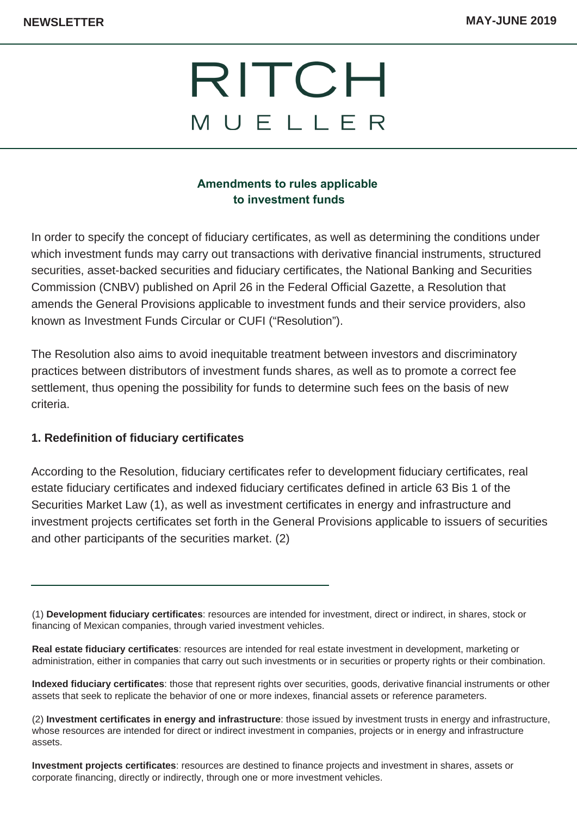# RITCH MUELLER

## **Amendments to rules applicable to investment funds**

In order to specify the concept of fiduciary certificates, as well as determining the conditions under which investment funds may carry out transactions with derivative financial instruments, structured securities, asset-backed securities and fiduciary certificates, the National Banking and Securities Commission (CNBV) published on April 26 in the Federal Official Gazette, a Resolution that amends the General Provisions applicable to investment funds and their service providers, also known as Investment Funds Circular or CUFI ("Resolution").

The Resolution also aims to avoid inequitable treatment between investors and discriminatory practices between distributors of investment funds shares, as well as to promote a correct fee settlement, thus opening the possibility for funds to determine such fees on the basis of new criteria.

#### **1. Redefinition of fiduciary certificates**

According to the Resolution, fiduciary certificates refer to development fiduciary certificates, real estate fiduciary certificates and indexed fiduciary certificates defined in article 63 Bis 1 of the Securities Market Law (1), as well as investment certificates in energy and infrastructure and investment projects certificates set forth in the General Provisions applicable to issuers of securities and other participants of the securities market. (2)

<sup>(1)</sup> **Development fiduciary certificates**: resources are intended for investment, direct or indirect, in shares, stock or financing of Mexican companies, through varied investment vehicles.

**Real estate fiduciary certificates**: resources are intended for real estate investment in development, marketing or administration, either in companies that carry out such investments or in securities or property rights or their combination.

**Indexed fiduciary certificates**: those that represent rights over securities, goods, derivative financial instruments or other assets that seek to replicate the behavior of one or more indexes, financial assets or reference parameters.

<sup>(2)</sup> **Investment certificates in energy and infrastructure**: those issued by investment trusts in energy and infrastructure, whose resources are intended for direct or indirect investment in companies, projects or in energy and infrastructure assets.

**Investment projects certificates**: resources are destined to finance projects and investment in shares, assets or corporate financing, directly or indirectly, through one or more investment vehicles.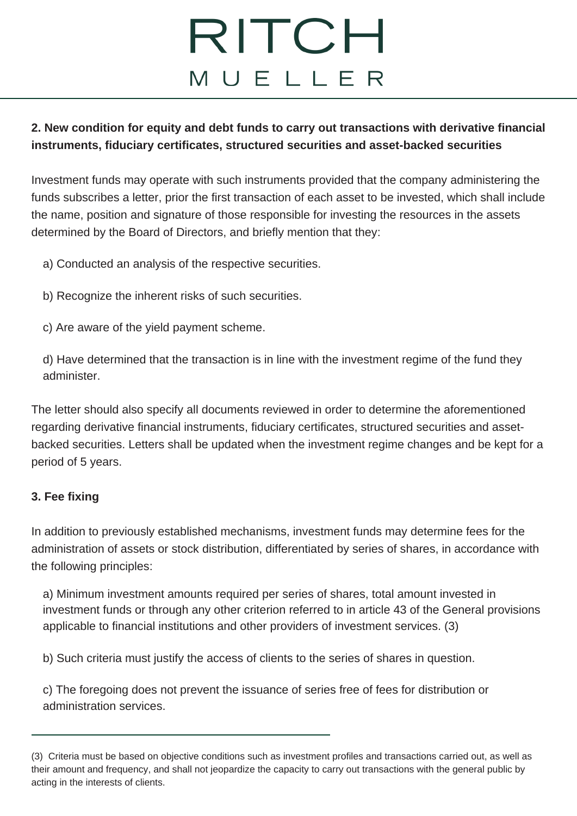# RITCH MUELLER

## **2. New condition for equity and debt funds to carry out transactions with derivative financial instruments, fiduciary certificates, structured securities and asset-backed securities**

Investment funds may operate with such instruments provided that the company administering the funds subscribes a letter, prior the first transaction of each asset to be invested, which shall include the name, position and signature of those responsible for investing the resources in the assets determined by the Board of Directors, and briefly mention that they:

- a) Conducted an analysis of the respective securities.
- b) Recognize the inherent risks of such securities.
- c) Are aware of the yield payment scheme.

d) Have determined that the transaction is in line with the investment regime of the fund they administer.

The letter should also specify all documents reviewed in order to determine the aforementioned regarding derivative financial instruments, fiduciary certificates, structured securities and assetbacked securities. Letters shall be updated when the investment regime changes and be kept for a period of 5 years.

## **3. Fee fixing**

In addition to previously established mechanisms, investment funds may determine fees for the administration of assets or stock distribution, differentiated by series of shares, in accordance with the following principles:

a) Minimum investment amounts required per series of shares, total amount invested in investment funds or through any other criterion referred to in article 43 of the General provisions applicable to financial institutions and other providers of investment services. (3)

b) Such criteria must justify the access of clients to the series of shares in question.

c) The foregoing does not prevent the issuance of series free of fees for distribution or administration services.

<sup>(3)</sup> Criteria must be based on objective conditions such as investment profiles and transactions carried out, as well as their amount and frequency, and shall not jeopardize the capacity to carry out transactions with the general public by acting in the interests of clients.